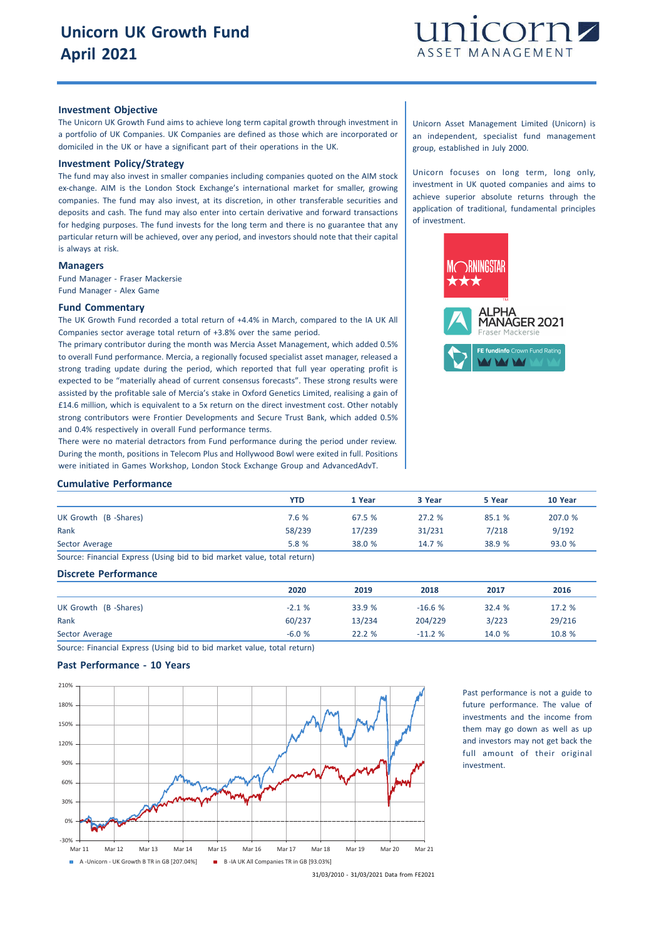

# **Investment Objective**

The Unicorn UK Growth Fund aims to achieve long term capital growth through investment in a portfolio of UK Companies. UK Companies are defined as those which are incorporated or domiciled in the UK or have a significant part of their operations in the UK.

## **Investment Policy/Strategy**

The fund may also invest in smaller companies including companies quoted on the AIM stock ex-change. AIM is the London Stock Exchange's international market for smaller, growing companies. The fund may also invest, at its discretion, in other transferable securities and deposits and cash. The fund may also enter into certain derivative and forward transactions for hedging purposes. The fund invests for the long term and there is no guarantee that any particular return will be achieved, over any period, and investors should note that their capital is always at risk.

## **Managers**

Fund Manager - Fraser Mackersie Fund Manager - Alex Game

# **Fund Commentary**

The UK Growth Fund recorded a total return of +4.4% in March, compared to the IA UK All Companies sector average total return of +3.8% over the same period.

The primary contributor during the month was Mercia Asset Management, which added 0.5% to overall Fund performance. Mercia, a regionally focused specialist asset manager, released a strong trading update during the period, which reported that full year operating profit is expected to be "materially ahead of current consensus forecasts". These strong results were assisted by the profitable sale of Mercia's stake in Oxford Genetics Limited, realising a gain of £14.6 million, which is equivalent to a 5x return on the direct investment cost. Other notably strong contributors were Frontier Developments and Secure Trust Bank, which added 0.5% and 0.4% respectively in overall Fund performance terms.

There were no material detractors from Fund performance during the period under review. During the month, positions in Telecom Plus and Hollywood Bowl were exited in full. Positions were initiated in Games Workshop, London Stock Exchange Group and AdvancedAdvT.

Unicorn Asset Management Limited (Unicorn) is an independent, specialist fund management group, established in July 2000.

Unicorn focuses on long term, long only, investment in UK quoted companies and aims to achieve superior absolute returns through the application of traditional, fundamental principles of investment.



#### **Cumulative Performance**

|                                                                       | YTD    | 1 Year | 3 Year | 5 Year | 10 Year |
|-----------------------------------------------------------------------|--------|--------|--------|--------|---------|
| UK Growth (B-Shares)                                                  | 7.6 %  | 67.5 % | 27.2%  | 85.1 % | 207.0 % |
| Rank                                                                  | 58/239 | 17/239 | 31/231 | 7/218  | 9/192   |
| Sector Average                                                        | 5.8 %  | 38.0 % | 14.7%  | 38.9 % | 93.0%   |
| Course Financial Everses (Heine hid to hid mortal value total return) |        |        |        |        |         |

Source: Financial Express (Using bid to bid market value, total return)

### **Discrete Performance**

|                      | 2020    | 2019   | 2018     | 2017   | 2016   |
|----------------------|---------|--------|----------|--------|--------|
| UK Growth (B-Shares) | $-2.1%$ | 33.9 % | $-16.6%$ | 32.4 % | 17.2 % |
| Rank                 | 60/237  | 13/234 | 204/229  | 3/223  | 29/216 |
| Sector Average       | $-6.0%$ | 22.2%  | $-11.2%$ | 14.0 % | 10.8 % |

Source: Financial Express (Using bid to bid market value, total return)

## **Past Performance - 10 Years**



Past performance is not a guide to future performance. The value of investments and the income from them may go down as well as up and investors may not get back the full amount of their original investment.

31/03/2010 - 31/03/2021 Data from FE2021